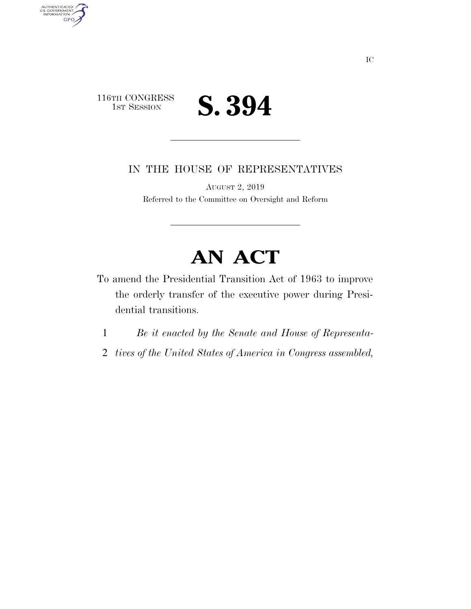

AUTHENTICATED<br>U.S. GOVERNMENT<br>INFORMATION GPO

IN THE HOUSE OF REPRESENTATIVES

AUGUST 2, 2019 Referred to the Committee on Oversight and Reform

## **AN ACT**

- To amend the Presidential Transition Act of 1963 to improve the orderly transfer of the executive power during Presidential transitions.
	- 1 *Be it enacted by the Senate and House of Representa-*
	- 2 *tives of the United States of America in Congress assembled,*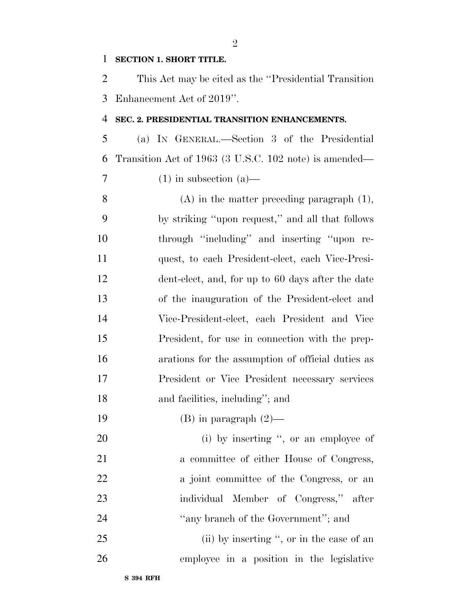## **SECTION 1. SHORT TITLE.**

 This Act may be cited as the ''Presidential Transition Enhancement Act of 2019''.

## **SEC. 2. PRESIDENTIAL TRANSITION ENHANCEMENTS.**

 (a) IN GENERAL.—Section 3 of the Presidential Transition Act of 1963 (3 U.S.C. 102 note) is amended—

 $7 \t(1)$  in subsection (a)

 (A) in the matter preceding paragraph (1), by striking ''upon request,'' and all that follows through ''including'' and inserting ''upon re- quest, to each President-elect, each Vice-Presi- dent-elect, and, for up to 60 days after the date of the inauguration of the President-elect and Vice-President-elect, each President and Vice President, for use in connection with the prep- arations for the assumption of official duties as President or Vice President necessary services 18 and facilities, including"; and

19 (B) in paragraph  $(2)$ —

20 (i) by inserting ", or an employee of 21 a committee of either House of Congress, 22 a joint committee of the Congress, or an individual Member of Congress,'' after 24 "any branch of the Government"; and

25 (ii) by inserting ", or in the case of an employee in a position in the legislative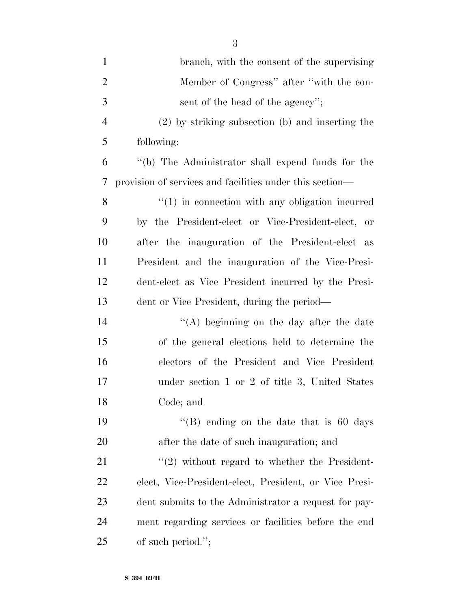| $\mathbf{1}$   | branch, with the consent of the supervising              |
|----------------|----------------------------------------------------------|
| $\overline{2}$ | Member of Congress" after "with the con-                 |
| 3              | sent of the head of the agency";                         |
| $\overline{4}$ | (2) by striking subsection (b) and inserting the         |
| 5              | following:                                               |
| 6              | "(b) The Administrator shall expend funds for the        |
| 7              | provision of services and facilities under this section— |
| 8              | $f'(1)$ in connection with any obligation incurred       |
| 9              | by the President-elect or Vice-President-elect, or       |
| 10             | after the inauguration of the President-elect as         |
| 11             | President and the inauguration of the Vice-Presi-        |
| 12             | dent-elect as Vice President incurred by the Presi-      |
| 13             | dent or Vice President, during the period—               |
| 14             | "(A) beginning on the day after the date                 |
| 15             | of the general elections held to determine the           |
| 16             | electors of the President and Vice President             |
| 17             | under section 1 or 2 of title 3, United States           |
| 18             | Code; and                                                |
| 19             | "(B) ending on the date that is $60 \text{ days}$        |
| 20             | after the date of such inauguration; and                 |
| 21             | $\lq(2)$ without regard to whether the President-        |
| 22             | elect, Vice-President-elect, President, or Vice Presi-   |
| 23             | dent submits to the Administrator a request for pay-     |
| 24             | ment regarding services or facilities before the end     |
| 25             | of such period.";                                        |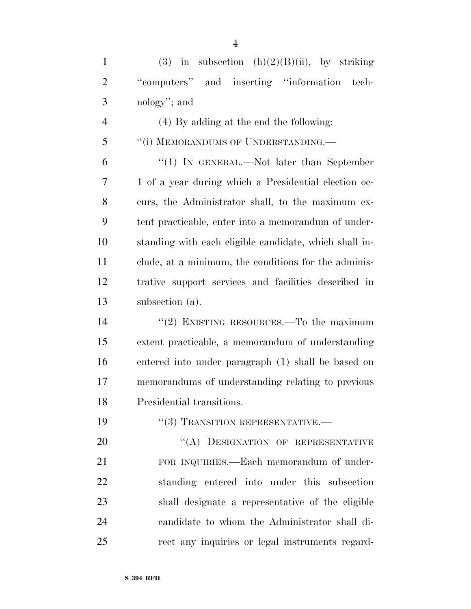1 (3) in subsection  $(h)(2)(B)(ii)$ , by striking ''computers'' and inserting ''information tech- nology''; and (4) By adding at the end the following: 5 "(i) MEMORANDUMS OF UNDERSTANDING.— ''(1) IN GENERAL.—Not later than September 1 of a year during which a Presidential election oc- curs, the Administrator shall, to the maximum ex- tent practicable, enter into a memorandum of under- standing with each eligible candidate, which shall in- clude, at a minimum, the conditions for the adminis- trative support services and facilities described in subsection (a). 14 "(2) EXISTING RESOURCES.—To the maximum extent practicable, a memorandum of understanding entered into under paragraph (1) shall be based on memorandums of understanding relating to previous Presidential transitions.

19 "(3) TRANSITION REPRESENTATIVE.—

20 "(A) DESIGNATION OF REPRESENTATIVE FOR INQUIRIES.—Each memorandum of under- standing entered into under this subsection shall designate a representative of the eligible candidate to whom the Administrator shall di-rect any inquiries or legal instruments regard-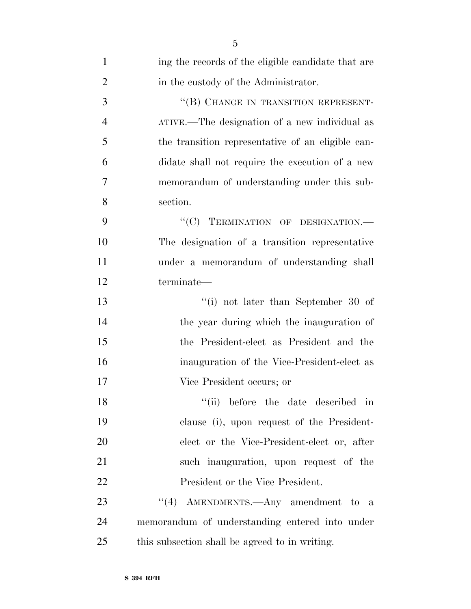| $\mathbf{1}$   | ing the records of the eligible candidate that are |
|----------------|----------------------------------------------------|
| $\overline{2}$ | in the custody of the Administrator.               |
| 3              | "(B) CHANGE IN TRANSITION REPRESENT-               |
| $\overline{4}$ | ATIVE.—The designation of a new individual as      |
| 5              | the transition representative of an eligible can-  |
| 6              | didate shall not require the execution of a new    |
| 7              | memorandum of understanding under this sub-        |
| 8              | section.                                           |
| 9              | "(C) TERMINATION OF DESIGNATION.-                  |
| 10             | The designation of a transition representative     |
| 11             | under a memorandum of understanding shall          |
| 12             | terminate-                                         |
| 13             | "(i) not later than September 30 of                |
| 14             | the year during which the inauguration of          |
| 15             | the President-elect as President and the           |
| 16             | inauguration of the Vice-President-elect as        |
| 17             | Vice President occurs; or                          |
| 18             | ``(ii)<br>before the date described in             |
| 19             | clause (i), upon request of the President-         |
| 20             | elect or the Vice-President-elect or, after        |
| 21             | such inauguration, upon request of the             |
| 22             | President or the Vice President.                   |
| 23             | "(4) AMENDMENTS.—Any amendment to a                |
| 24             | memorandum of understanding entered into under     |
| 25             | this subsection shall be agreed to in writing.     |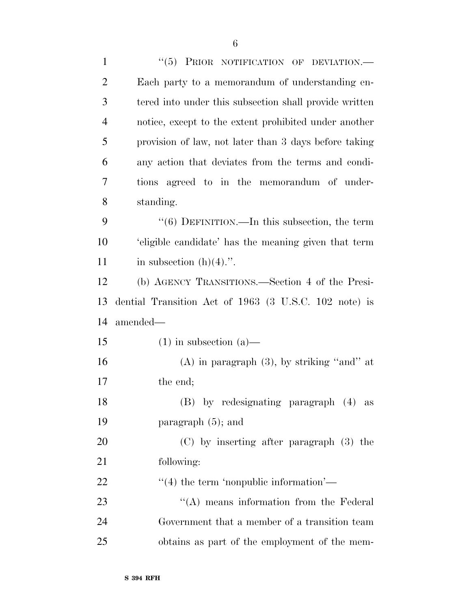| $\mathbf{1}$   | "(5) PRIOR NOTIFICATION OF DEVIATION.-                 |
|----------------|--------------------------------------------------------|
| 2              | Each party to a memorandum of understanding en-        |
| 3              | tered into under this subsection shall provide written |
| $\overline{4}$ | notice, except to the extent prohibited under another  |
| 5              | provision of law, not later than 3 days before taking  |
| 6              | any action that deviates from the terms and condi-     |
| 7              | tions agreed to in the memorandum of under-            |
| 8              | standing.                                              |
| 9              | $\lq(6)$ DEFINITION.—In this subsection, the term      |
| 10             | 'eligible candidate' has the meaning given that term   |
| 11             | in subsection $(h)(4)$ .".                             |
| 12             | (b) AGENCY TRANSITIONS.—Section 4 of the Presi-        |
| 13             | dential Transition Act of 1963 (3 U.S.C. 102 note) is  |
| 14             | amended—                                               |
| 15             | $(1)$ in subsection $(a)$ —                            |
| 16             | $(A)$ in paragraph $(3)$ , by striking "and" at        |
| 17             | the end;                                               |
| 18             | (B) by redesignating paragraph (4) as                  |
| 19             | paragraph $(5)$ ; and                                  |
| 20             | (C) by inserting after paragraph (3) the               |
| 21             | following:                                             |
| 22             | $\cdot$ (4) the term 'nonpublic information'—          |
| 23             | $\lq\lq$ means information from the Federal            |
| 24             | Government that a member of a transition team          |
| 25             | obtains as part of the employment of the mem-          |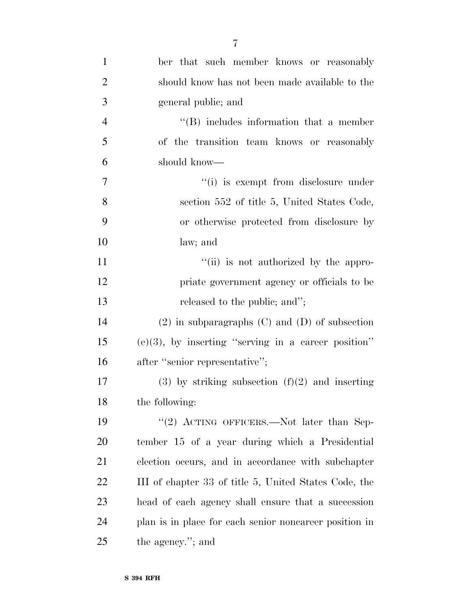| $\mathbf{1}$   | ber that such member knows or reasonably               |
|----------------|--------------------------------------------------------|
| $\overline{2}$ | should know has not been made available to the         |
| 3              | general public; and                                    |
| $\overline{4}$ | $\lq\lq$ includes information that a member            |
| 5              | of the transition team knows or reasonably             |
| 6              | should know—                                           |
| $\overline{7}$ | "(i) is exempt from disclosure under                   |
| 8              | section 552 of title 5, United States Code,            |
| 9              | or otherwise protected from disclosure by              |
| 10             | law; and                                               |
| 11             | "(ii) is not authorized by the appro-                  |
| 12             | priate government agency or officials to be            |
| 13             | released to the public; and";                          |
| 14             | $(2)$ in subparagraphs $(C)$ and $(D)$ of subsection   |
| 15             | $(e)(3)$ , by inserting "serving in a career position" |
| 16             | after "senior representative";                         |
| 17             | $(3)$ by striking subsection $(f)(2)$ and inserting    |
| 18             | the following:                                         |
| 19             | "(2) ACTING OFFICERS.—Not later than Sep-              |
| <b>20</b>      | tember 15 of a year during which a Presidential        |
| 21             | election occurs, and in accordance with subchapter     |
| <u>22</u>      | III of chapter 33 of title 5, United States Code, the  |
| 23             | head of each agency shall ensure that a succession     |
| 24             | plan is in place for each senior noncareer position in |
| 25             | the agency."; and                                      |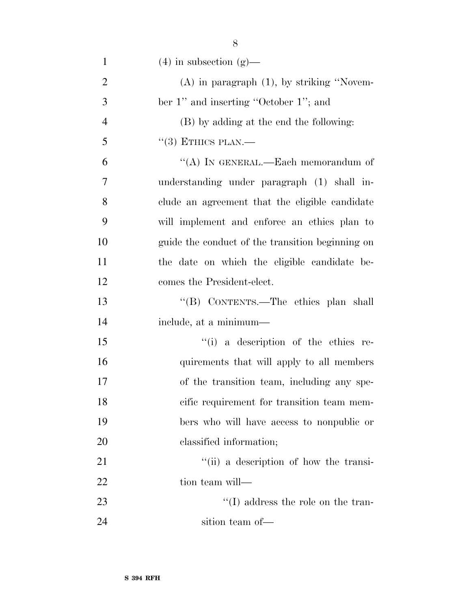| $\mathbf{1}$   | $(4)$ in subsection $(g)$ —                      |
|----------------|--------------------------------------------------|
| $\overline{2}$ | $(A)$ in paragraph $(1)$ , by striking "Novem-   |
| 3              | ber 1" and inserting "October 1"; and            |
| $\overline{4}$ | (B) by adding at the end the following:          |
| 5              | $\lq(3)$ ETHICS PLAN.—                           |
| 6              | "(A) IN GENERAL.—Each memorandum of              |
| 7              | understanding under paragraph (1) shall in-      |
| 8              | clude an agreement that the eligible candidate   |
| 9              | will implement and enforce an ethics plan to     |
| 10             | guide the conduct of the transition beginning on |
| 11             | the date on which the eligible candidate be-     |
| 12             | comes the President-elect.                       |
| 13             | "(B) CONTENTS.—The ethics plan shall             |
| 14             | include, at a minimum—                           |
| 15             | "(i) a description of the ethics re-             |
| 16             | quirements that will apply to all members        |
| 17             | of the transition team, including any spe-       |
| 18             | cific requirement for transition team mem-       |
| 19             | bers who will have access to nonpublic or        |
| 20             | classified information;                          |
| 21             | "(ii) a description of how the transi-           |
| 22             | tion team will—                                  |
| 23             | $\lq\lq$ (I) address the role on the tran-       |
| 24             | sition team of-                                  |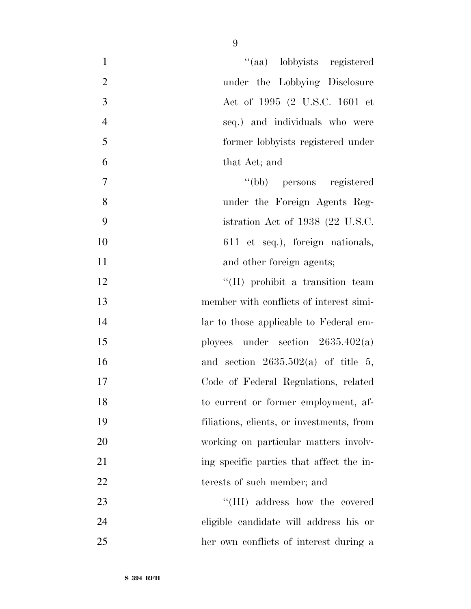| "(aa) lobbyists registered<br>$\mathbf{1}$       |
|--------------------------------------------------|
| $\overline{2}$<br>under the Lobbying Disclosure  |
| $\overline{3}$<br>Act of 1995 (2 U.S.C. 1601 et  |
| $\overline{4}$<br>seq.) and individuals who were |
| 5<br>former lobbyists registered under           |
| 6<br>that Act; and                               |
| $\boldsymbol{7}$<br>"(bb) persons registered     |
| 8<br>under the Foreign Agents Reg-               |
| 9<br>istration Act of 1938 (22 U.S.C.            |
| 10<br>611 et seq.), foreign nationals,           |
| 11<br>and other foreign agents;                  |
| 12<br>"(II) prohibit a transition team           |
| 13<br>member with conflicts of interest simi-    |
| 14<br>lar to those applicable to Federal em-     |
| ployees under section $2635.402(a)$<br>15        |
| 16<br>and section $2635.502(a)$ of title 5,      |
| 17<br>Code of Federal Regulations, related       |
| 18<br>to current or former employment, af-       |
| 19<br>filiations, clients, or investments, from  |
| 20<br>working on particular matters involv-      |
| 21<br>ing specific parties that affect the in-   |
| 22<br>terests of such member; and                |
| "(III) address how the covered<br>23             |
| 24<br>eligible candidate will address his or     |
| 25<br>her own conflicts of interest during a     |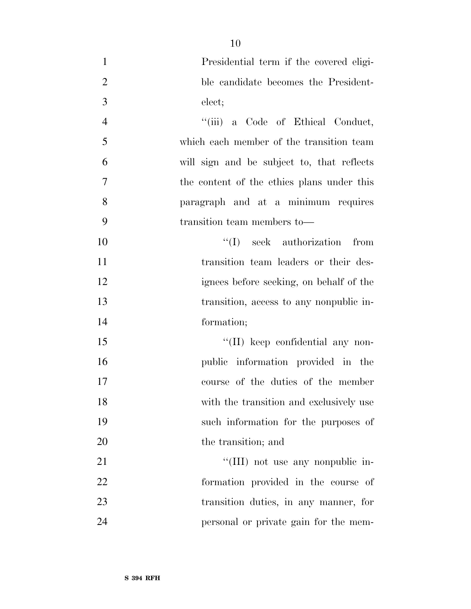| $\mathbf{1}$   | Presidential term if the covered eligi-    |
|----------------|--------------------------------------------|
| $\overline{2}$ | ble candidate becomes the President-       |
| 3              | elect;                                     |
| $\overline{4}$ | "(iii) a Code of Ethical Conduct,          |
| 5              | which each member of the transition team   |
| 6              | will sign and be subject to, that reflects |
| $\overline{7}$ | the content of the ethics plans under this |
| 8              | paragraph and at a minimum requires        |
| 9              | transition team members to-                |
| 10             | $\lq\lq$ (I) seek authorization from       |
| 11             | transition team leaders or their des-      |
| 12             | ignees before seeking, on behalf of the    |
| 13             | transition, access to any nonpublic in-    |
| 14             | formation;                                 |
| 15             | $\lq\lq$ (II) keep confidential any non-   |
| 16             | public information provided in the         |
| 17             | course of the duties of the member         |
| 18             | with the transition and exclusively use    |
| 19             | such information for the purposes of       |
| 20             | the transition; and                        |
| 21             | "(III) not use any nonpublic in-           |
| 22             | formation provided in the course of        |
| 23             | transition duties, in any manner, for      |
| 24             | personal or private gain for the mem-      |